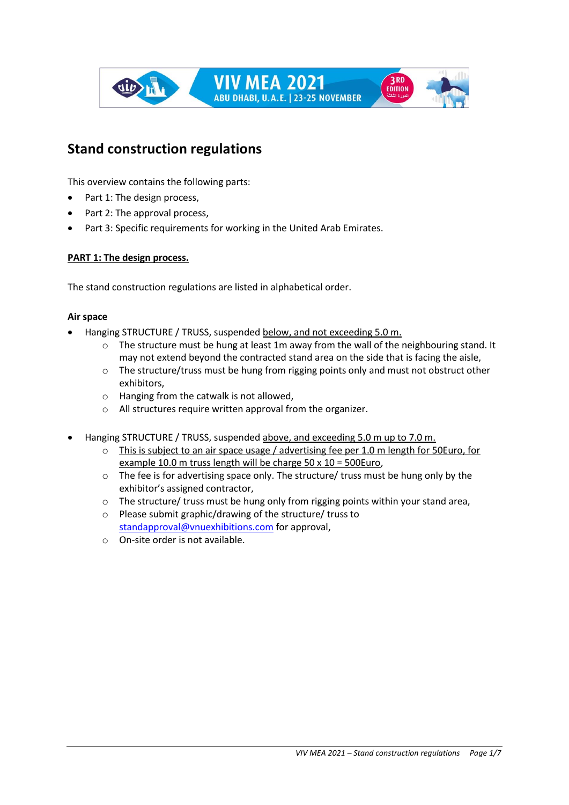

# **Stand construction regulations**

This overview contains the following parts:

- Part 1: The design process.
- Part 2: The approval process,
- Part 3: Specific requirements for working in the United Arab Emirates.

## **PART 1: The design process.**

The stand construction regulations are listed in alphabetical order.

#### **Air space**

- Hanging STRUCTURE / TRUSS, suspended below, and not exceeding 5.0 m.
	- o The structure must be hung at least 1m away from the wall of the neighbouring stand. It may not extend beyond the contracted stand area on the side that is facing the aisle,
	- o The structure/truss must be hung from rigging points only and must not obstruct other exhibitors,
	- o Hanging from the catwalk is not allowed,
	- o All structures require written approval from the organizer.
- Hanging STRUCTURE / TRUSS, suspended above, and exceeding 5.0 m up to 7.0 m.
	- o This is subject to an air space usage / advertising fee per 1.0 m length for 50Euro, for example 10.0 m truss length will be charge 50 x 10 = 500Euro,
	- o The fee is for advertising space only. The structure/ truss must be hung only by the exhibitor's assigned contractor,
	- $\circ$  The structure/ truss must be hung only from rigging points within your stand area,
	- o Please submit graphic/drawing of the structure/ truss to [standapproval@vnuexhibitions.com](mailto:standapproval@vnuexhibitions.com) for approval,
	- o On-site order is not available.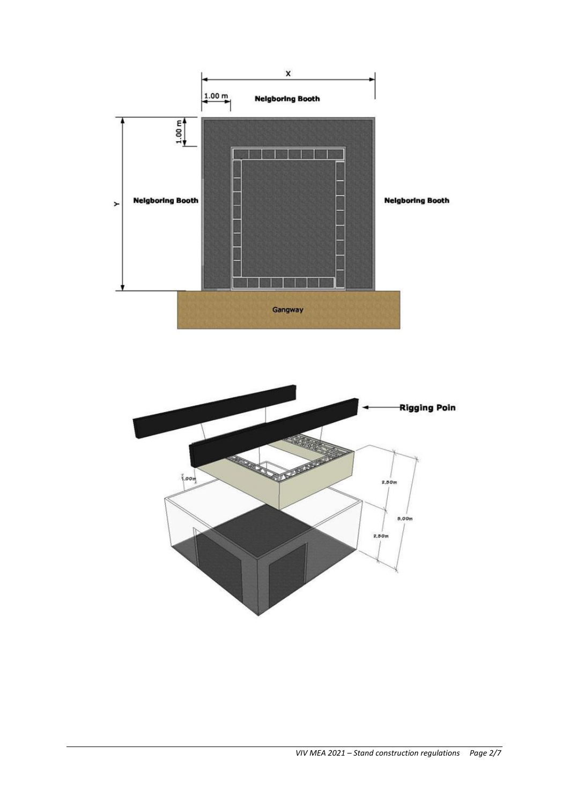

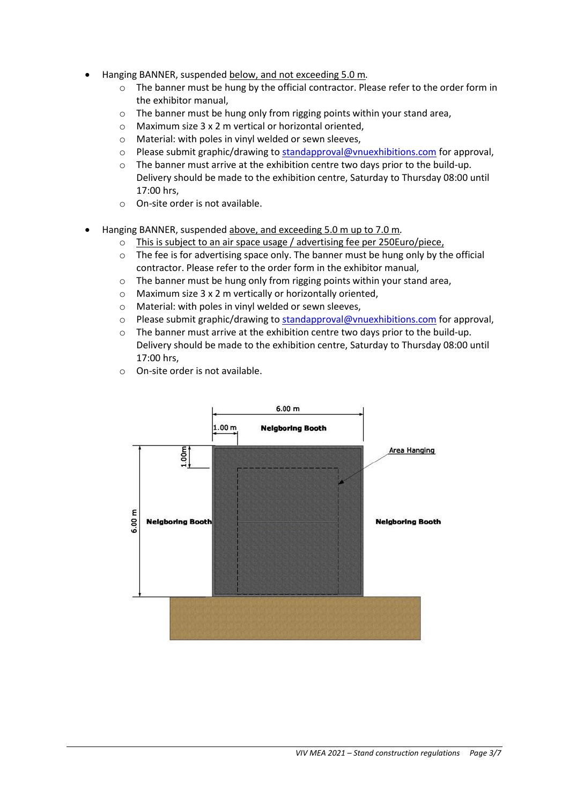- Hanging BANNER, suspended below, and not exceeding 5.0 m*.*
	- $\circ$  The banner must be hung by the official contractor. Please refer to the order form in the exhibitor manual,
	- o The banner must be hung only from rigging points within your stand area,
	- o Maximum size 3 x 2 m vertical or horizontal oriented,
	- o Material: with poles in vinyl welded or sewn sleeves,
	- o Please submit graphic/drawing to [standapproval@vnuexhibitions.com](mailto:standapproval@vnuexhibitions.com) for approval,
	- o The banner must arrive at the exhibition centre two days prior to the build-up. Delivery should be made to the exhibition centre, Saturday to Thursday 08:00 until 17:00 hrs,
	- o On-site order is not available.
- Hanging BANNER, suspended above, and exceeding 5.0 m up to 7.0 m*.*
	- o This is subject to an air space usage / advertising fee per 250Euro/piece,
	- o The fee is for advertising space only. The banner must be hung only by the official contractor. Please refer to the order form in the exhibitor manual,
	- o The banner must be hung only from rigging points within your stand area,
	- o Maximum size 3 x 2 m vertically or horizontally oriented,
	- o Material: with poles in vinyl welded or sewn sleeves,
	- $\circ$  Please submit graphic/drawing to [standapproval@vnuexhibitions.com](mailto:standapproval@vnuexhibitions.com) for approval,
	- $\circ$  The banner must arrive at the exhibition centre two days prior to the build-up. Delivery should be made to the exhibition centre, Saturday to Thursday 08:00 until 17:00 hrs,
	- o On-site order is not available.

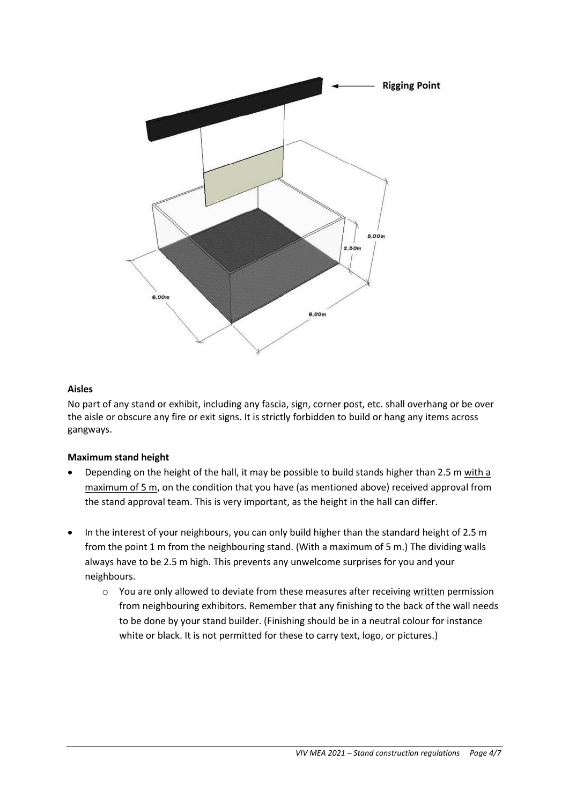

#### **Aisles**

No part of any stand or exhibit, including any fascia, sign, corner post, etc. shall overhang or be over the aisle or obscure any fire or exit signs. It is strictly forbidden to build or hang any items across gangways.

#### **Maximum stand height**

- Depending on the height of the hall, it may be possible to build stands higher than 2.5 m with a maximum of 5 m, on the condition that you have (as mentioned above) received approval from the stand approval team. This is very important, as the height in the hall can differ.
- In the interest of your neighbours, you can only build higher than the standard height of 2.5 m from the point 1 m from the neighbouring stand. (With a maximum of 5 m.) The dividing walls always have to be 2.5 m high. This prevents any unwelcome surprises for you and your neighbours.
	- o You are only allowed to deviate from these measures after receiving written permission from neighbouring exhibitors. Remember that any finishing to the back of the wall needs to be done by your stand builder. (Finishing should be in a neutral colour for instance white or black. It is not permitted for these to carry text, logo, or pictures.)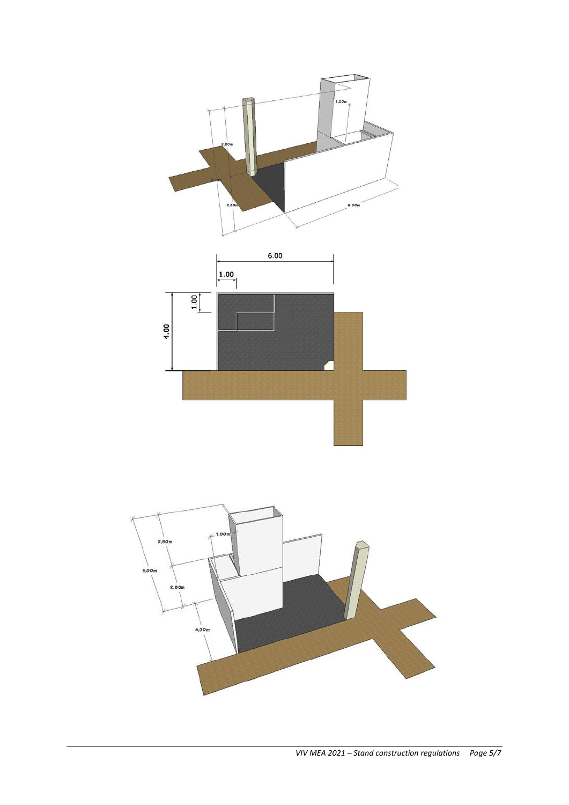

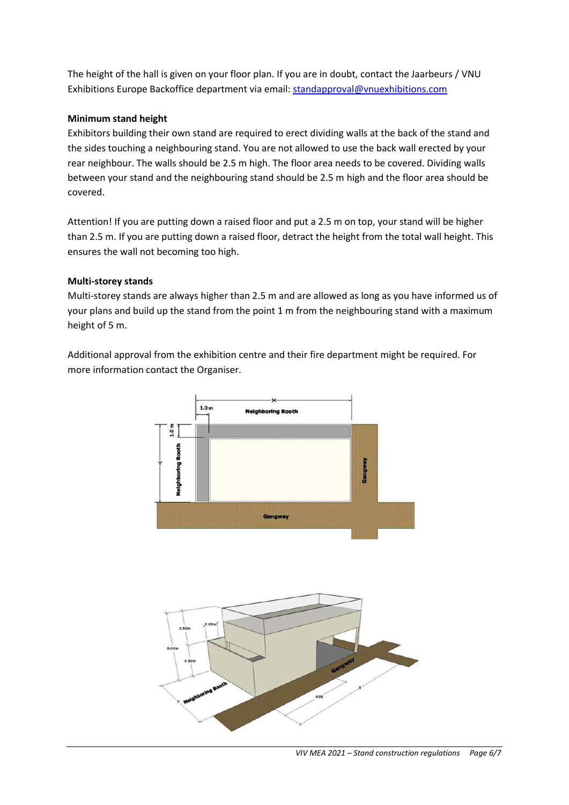The height of the hall is given on your floor plan. If you are in doubt, contact the Jaarbeurs / VNU Exhibitions Europe Backoffice department via email: [standapproval@vnuexhibitions.com](mailto:standapproval@vnuexhibitions.com)

## **Minimum stand height**

Exhibitors building their own stand are required to erect dividing walls at the back of the stand and the sides touching a neighbouring stand. You are not allowed to use the back wall erected by your rear neighbour. The walls should be 2.5 m high. The floor area needs to be covered. Dividing walls between your stand and the neighbouring stand should be 2.5 m high and the floor area should be covered.

Attention! If you are putting down a raised floor and put a 2.5 m on top, your stand will be higher than 2.5 m. If you are putting down a raised floor, detract the height from the total wall height. This ensures the wall not becoming too high.

## **Multi-storey stands**

Multi-storey stands are always higher than 2.5 m and are allowed as long as you have informed us of your plans and build up the stand from the point 1 m from the neighbouring stand with a maximum height of 5 m.

Additional approval from the exhibition centre and their fire department might be required. For more information contact the Organiser.

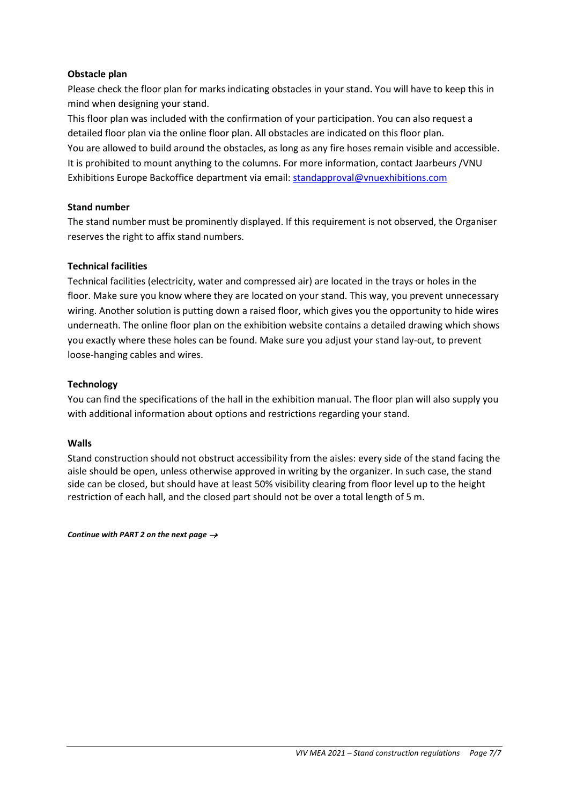#### **Obstacle plan**

Please check the floor plan for marks indicating obstacles in your stand. You will have to keep this in mind when designing your stand.

This floor plan was included with the confirmation of your participation. You can also request a detailed floor plan via the online floor plan. All obstacles are indicated on this floor plan. You are allowed to build around the obstacles, as long as any fire hoses remain visible and accessible. It is prohibited to mount anything to the columns. For more information, contact Jaarbeurs /VNU Exhibitions Europe Backoffice department via email[: standapproval@vnuexhibitions.com](mailto:standapproval@vnuexhibitions.com)

#### **Stand number**

The stand number must be prominently displayed. If this requirement is not observed, the Organiser reserves the right to affix stand numbers.

#### **Technical facilities**

Technical facilities (electricity, water and compressed air) are located in the trays or holes in the floor. Make sure you know where they are located on your stand. This way, you prevent unnecessary wiring. Another solution is putting down a raised floor, which gives you the opportunity to hide wires underneath. The online floor plan on the exhibition website contains a detailed drawing which shows you exactly where these holes can be found. Make sure you adjust your stand lay-out, to prevent loose-hanging cables and wires.

#### **Technology**

You can find the specifications of the hall in the exhibition manual. The floor plan will also supply you with additional information about options and restrictions regarding your stand.

#### **Walls**

Stand construction should not obstruct accessibility from the aisles: every side of the stand facing the aisle should be open, unless otherwise approved in writing by the organizer. In such case, the stand side can be closed, but should have at least 50% visibility clearing from floor level up to the height restriction of each hall, and the closed part should not be over a total length of 5 m.

*Continue with PART 2 on the next page* →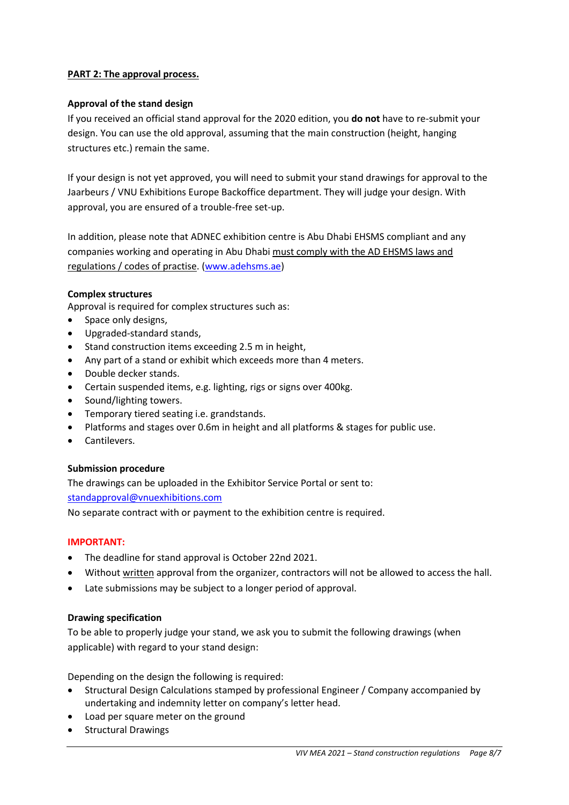## **PART 2: The approval process.**

## **Approval of the stand design**

If you received an official stand approval for the 2020 edition, you **do not** have to re-submit your design. You can use the old approval, assuming that the main construction (height, hanging structures etc.) remain the same.

If your design is not yet approved, you will need to submit your stand drawings for approval to the Jaarbeurs / VNU Exhibitions Europe Backoffice department. They will judge your design. With approval, you are ensured of a trouble-free set-up.

In addition, please note that ADNEC exhibition centre is Abu Dhabi EHSMS compliant and any companies working and operating in Abu Dhabi must comply with the AD EHSMS laws and regulations / codes of practise. [\(www.adehsms.ae\)](http://www.adehsms.ae/)

## **Complex structures**

Approval is required for complex structures such as:

- Space only designs,
- Upgraded-standard stands,
- Stand construction items exceeding 2.5 m in height,
- Any part of a stand or exhibit which exceeds more than 4 meters.
- Double decker stands.
- Certain suspended items, e.g. lighting, rigs or signs over 400kg.
- Sound/lighting towers.
- Temporary tiered seating i.e. grandstands.
- Platforms and stages over 0.6m in height and all platforms & stages for public use.
- Cantilevers.

## **Submission procedure**

The drawings can be uploaded in the Exhibitor Service Portal or sent to: [standapproval@vnuexhibitions.com](mailto:standapproval@vnuexhibitions.com)

No separate contract with or payment to the exhibition centre is required.

## **IMPORTANT:**

- The deadline for stand approval is October 22nd 2021.
- Without written approval from the organizer, contractors will not be allowed to access the hall.
- Late submissions may be subject to a longer period of approval.

## **Drawing specification**

To be able to properly judge your stand, we ask you to submit the following drawings (when applicable) with regard to your stand design:

Depending on the design the following is required:

- Structural Design Calculations stamped by professional Engineer / Company accompanied by undertaking and indemnity letter on company's letter head.
- Load per square meter on the ground
- Structural Drawings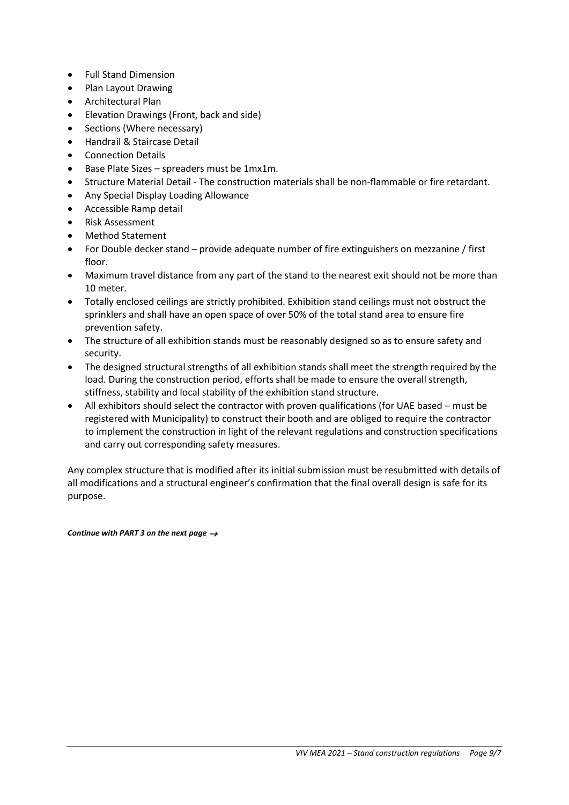- Full Stand Dimension
- Plan Layout Drawing
- Architectural Plan
- Elevation Drawings (Front, back and side)
- Sections (Where necessary)
- Handrail & Staircase Detail
- Connection Details
- Base Plate Sizes spreaders must be 1mx1m.
- Structure Material Detail The construction materials shall be non-flammable or fire retardant.
- Any Special Display Loading Allowance
- Accessible Ramp detail
- Risk Assessment
- Method Statement
- For Double decker stand provide adequate number of fire extinguishers on mezzanine / first floor.
- Maximum travel distance from any part of the stand to the nearest exit should not be more than 10 meter.
- Totally enclosed ceilings are strictly prohibited. Exhibition stand ceilings must not obstruct the sprinklers and shall have an open space of over 50% of the total stand area to ensure fire prevention safety.
- The structure of all exhibition stands must be reasonably designed so as to ensure safety and security.
- The designed structural strengths of all exhibition stands shall meet the strength required by the load. During the construction period, efforts shall be made to ensure the overall strength, stiffness, stability and local stability of the exhibition stand structure.
- All exhibitors should select the contractor with proven qualifications (for UAE based must be registered with Municipality) to construct their booth and are obliged to require the contractor to implement the construction in light of the relevant regulations and construction specifications and carry out corresponding safety measures.

Any complex structure that is modified after its initial submission must be resubmitted with details of all modifications and a structural engineer's confirmation that the final overall design is safe for its purpose.

*Continue with PART 3 on the next page* →